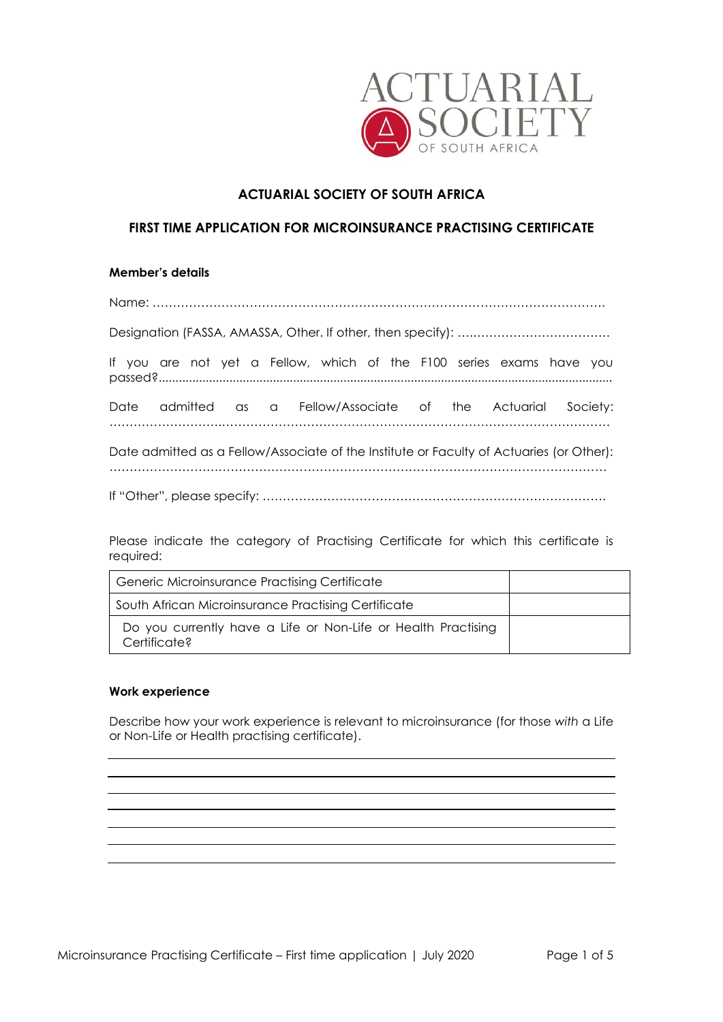

# **ACTUARIAL SOCIETY OF SOUTH AFRICA**

# **FIRST TIME APPLICATION FOR MICROINSURANCE PRACTISING CERTIFICATE**

### **Member's details**

Name: ………………………………………………………………………………………………….

Designation (FASSA, AMASSA, Other. If other, then specify): ….……………………………. If you are not yet a Fellow, which of the F100 series exams have you passed?....................................................................................................................................... Date admitted as a Fellow/Associate of the Actuarial Society: ……………………….…………………………………………………………………………………… Date admitted as a Fellow/Associate of the Institute or Faculty of Actuaries (or Other): …………………………………………………………………………………………………………… If "Other", please specify: ………………………………………………………………………….

Please indicate the category of Practising Certificate for which this certificate is required:

| <b>Generic Microinsurance Practising Certificate</b>                          |  |
|-------------------------------------------------------------------------------|--|
| South African Microinsurance Practising Certificate                           |  |
| Do you currently have a Life or Non-Life or Health Practising<br>Certificate? |  |

### **Work experience**

Describe how your work experience is relevant to microinsurance (for those *with* a Life or Non-Life or Health practising certificate).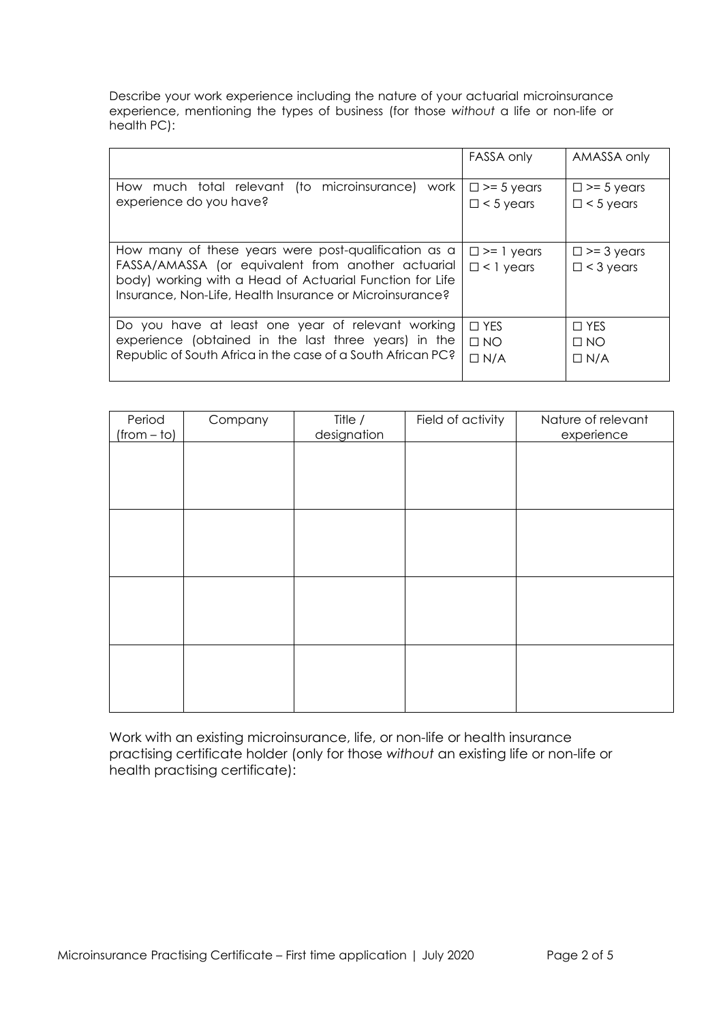Describe your work experience including the nature of your actuarial microinsurance experience, mentioning the types of business (for those *without* a life or non-life or health PC):

|                                                                                                                                                                                                                                    | FASSA only                               | AMASSA only                              |
|------------------------------------------------------------------------------------------------------------------------------------------------------------------------------------------------------------------------------------|------------------------------------------|------------------------------------------|
| (to microinsurance)<br>How much total relevant<br>work<br>experience do you have?                                                                                                                                                  | $\square$ >= 5 years<br>$\Box$ < 5 years | $\Box$ >= 5 years<br>$\Box$ < 5 years    |
| How many of these years were post-qualification as a<br>FASSA/AMASSA (or equivalent from another actuarial<br>body) working with a Head of Actuarial Function for Life<br>Insurance, Non-Life, Health Insurance or Microinsurance? | $\square$ >= 1 years<br>$\Box$ < 1 years | $\square$ >= 3 years<br>$\Box$ < 3 years |
| Do you have at least one year of relevant working<br>experience (obtained in the last three years) in the<br>Republic of South Africa in the case of a South African PC?                                                           | $\Box$ YES<br>$\Box$ NO<br>$\Box N/A$    | $\Box$ YES<br>$\Box$ NO<br>$\Box N/A$    |

| Nature of relevant | Field of activity | Title /     | Company | Period        |
|--------------------|-------------------|-------------|---------|---------------|
| experience         |                   | designation |         | $(from - to)$ |
|                    |                   |             |         |               |
|                    |                   |             |         |               |
|                    |                   |             |         |               |
|                    |                   |             |         |               |
|                    |                   |             |         |               |
|                    |                   |             |         |               |
|                    |                   |             |         |               |
|                    |                   |             |         |               |
|                    |                   |             |         |               |
|                    |                   |             |         |               |
|                    |                   |             |         |               |
|                    |                   |             |         |               |
|                    |                   |             |         |               |

Work with an existing microinsurance, life, or non-life or health insurance practising certificate holder (only for those *without* an existing life or non-life or health practising certificate):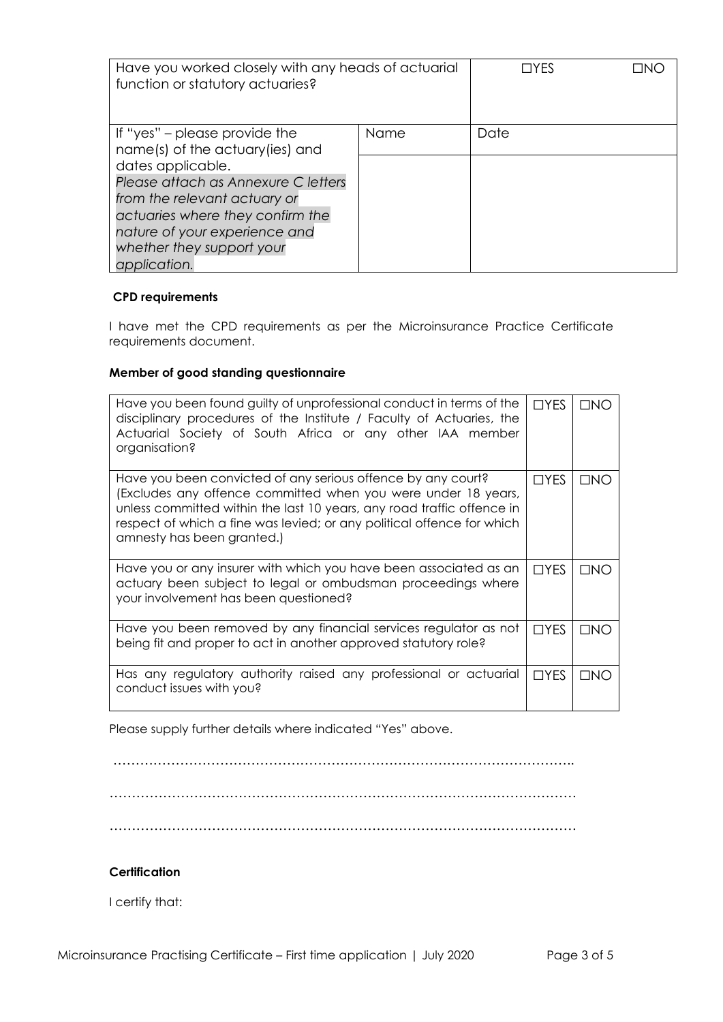| Have you worked closely with any heads of actuarial<br>function or statutory actuaries?                                                                                               |      | $\sqcap$ YFS | TNIC |
|---------------------------------------------------------------------------------------------------------------------------------------------------------------------------------------|------|--------------|------|
| If "yes" – please provide the<br>name(s) of the actuary(ies) and<br>dates applicable.                                                                                                 | Name | Date         |      |
| Please attach as Annexure C letters<br>from the relevant actuary or<br>actuaries where they confirm the<br>nature of your experience and<br>whether they support your<br>application. |      |              |      |

## **CPD requirements**

I have met the CPD requirements as per the Microinsurance Practice Certificate requirements document.

# **Member of good standing questionnaire**

| Have you been found guilty of unprofessional conduct in terms of the<br>disciplinary procedures of the Institute / Faculty of Actuaries, the<br>Actuarial Society of South Africa or any other IAA member<br>organisation?                                                                                      | $\Box$ YES | <b>TINO</b>         |
|-----------------------------------------------------------------------------------------------------------------------------------------------------------------------------------------------------------------------------------------------------------------------------------------------------------------|------------|---------------------|
| Have you been convicted of any serious offence by any court?<br>(Excludes any offence committed when you were under 18 years,<br>unless committed within the last 10 years, any road traffic offence in<br>respect of which a fine was levied; or any political offence for which<br>amnesty has been granted.) | $\Box$ YES | $\Box$ NO           |
| Have you or any insurer with which you have been associated as an<br>actuary been subject to legal or ombudsman proceedings where<br>your involvement has been questioned?                                                                                                                                      | $\Box$ YES | $\Box$ NO           |
| Have you been removed by any financial services regulator as not<br>being fit and proper to act in another approved statutory role?                                                                                                                                                                             | $\Box$ YES | $\Box$ NO           |
| Has any regulatory authority raised any professional or actuarial<br>conduct issues with you?                                                                                                                                                                                                                   | $\Box$ YES | $\Box$ N $\bigcirc$ |

Please supply further details where indicated "Yes" above.

## …………………………………………………………………………………………..

……………………………………………………………………………………………

……………………………………………………………………………………………

## **Certification**

I certify that: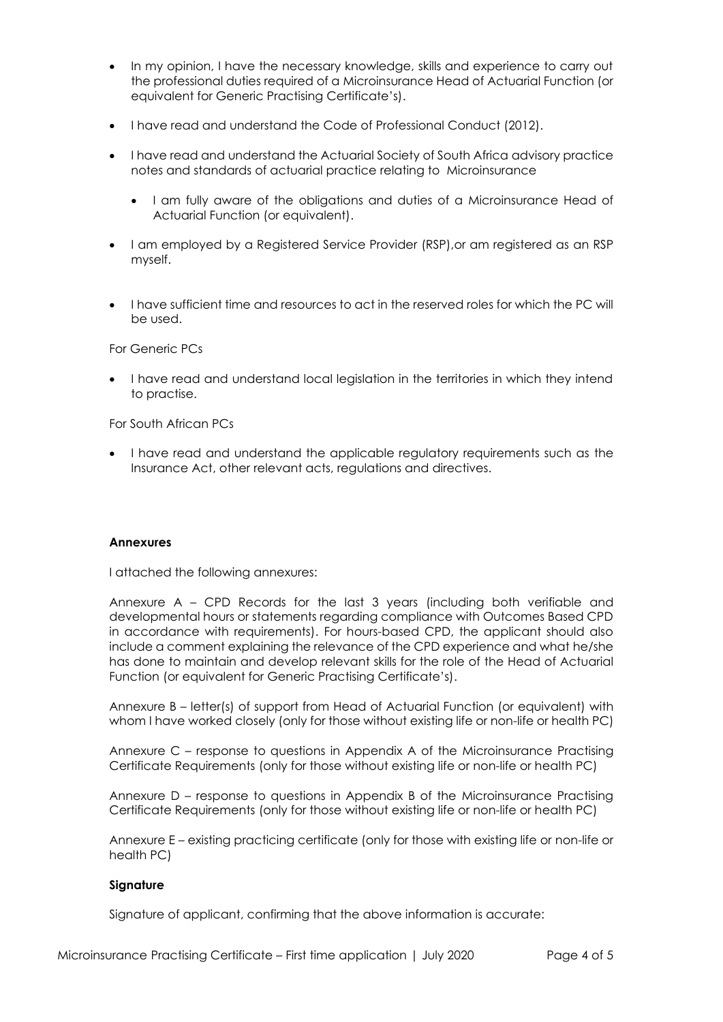- In my opinion, I have the necessary knowledge, skills and experience to carry out the professional duties required of a Microinsurance Head of Actuarial Function (or equivalent for Generic Practising Certificate's).
- I have read and understand the Code of Professional Conduct (2012).
- I have read and understand the Actuarial Society of South Africa advisory practice notes and standards of actuarial practice relating to Microinsurance
	- I am fully aware of the obligations and duties of a Microinsurance Head of Actuarial Function (or equivalent).
- I am employed by a Registered Service Provider (RSP),or am registered as an RSP myself.
- I have sufficient time and resources to act in the reserved roles for which the PC will be used.

For Generic PCs

• I have read and understand local legislation in the territories in which they intend to practise.

For South African PCs

• I have read and understand the applicable regulatory requirements such as the Insurance Act, other relevant acts, regulations and directives.

#### **Annexures**

I attached the following annexures:

Annexure A – CPD Records for the last 3 years (including both verifiable and developmental hours or statements regarding compliance with Outcomes Based CPD in accordance with requirements). For hours-based CPD, the applicant should also include a comment explaining the relevance of the CPD experience and what he/she has done to maintain and develop relevant skills for the role of the Head of Actuarial Function (or equivalent for Generic Practising Certificate's).

Annexure B – letter(s) of support from Head of Actuarial Function (or equivalent) with whom I have worked closely (only for those without existing life or non-life or health PC)

Annexure C – response to questions in Appendix A of the Microinsurance Practising Certificate Requirements (only for those without existing life or non-life or health PC)

Annexure D – response to questions in Appendix B of the Microinsurance Practising Certificate Requirements (only for those without existing life or non-life or health PC)

Annexure E – existing practicing certificate (only for those with existing life or non-life or health PC)

#### **Signature**

Signature of applicant, confirming that the above information is accurate: